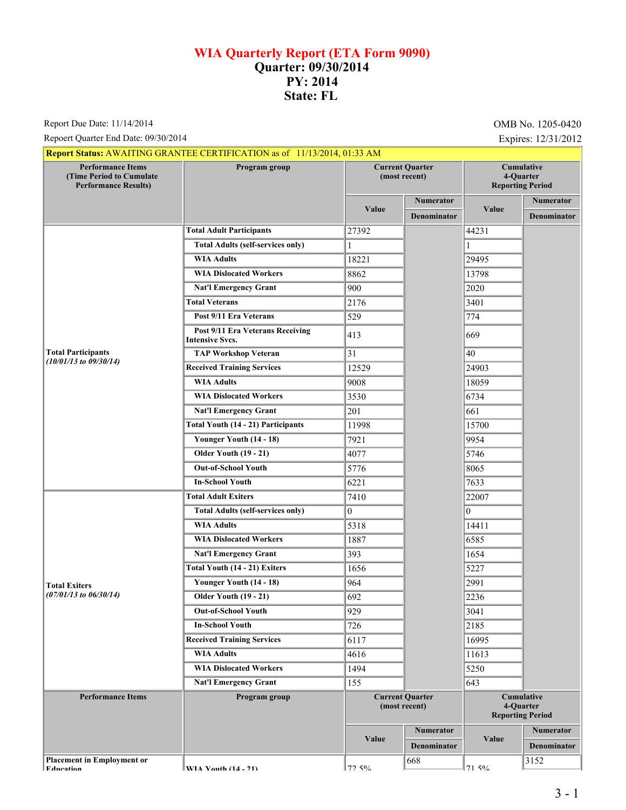## **WIA Quarterly Report (ETA Form 9090) Quarter: 09/30/2014 PY: 2014 State: FL**

Report Due Date: 11/14/2014 **OMB No. 1205-0420** 

Repoert Quarter End Date: 09/30/2014 Expires: 12/31/2012

|                                                                                             | <b>Report Status: AWAITING GRANTEE CERTIFICATION as of 11/13/2014, 01:33 AM</b> |                                         |                    |                                                           |                    |
|---------------------------------------------------------------------------------------------|---------------------------------------------------------------------------------|-----------------------------------------|--------------------|-----------------------------------------------------------|--------------------|
| <b>Performance Items</b><br><b>(Time Period to Cumulate)</b><br><b>Performance Results)</b> | <b>Current Quarter</b><br>Program group<br>(most recent)                        |                                         |                    | Cumulative<br>4-Quarter<br><b>Reporting Period</b>        |                    |
|                                                                                             |                                                                                 |                                         | <b>Numerator</b>   |                                                           | Numerator          |
|                                                                                             |                                                                                 | <b>Value</b>                            | <b>Denominator</b> | Value                                                     | <b>Denominator</b> |
|                                                                                             | <b>Total Adult Participants</b>                                                 | 27392                                   |                    | 44231                                                     |                    |
|                                                                                             | <b>Total Adults (self-services only)</b>                                        | $\mathbf{1}$                            |                    |                                                           |                    |
|                                                                                             | <b>WIA Adults</b>                                                               | 18221                                   |                    | 29495                                                     |                    |
|                                                                                             | <b>WIA Dislocated Workers</b>                                                   | 8862                                    |                    | 13798                                                     |                    |
|                                                                                             | <b>Nat'l Emergency Grant</b>                                                    | 900                                     |                    | 2020                                                      |                    |
|                                                                                             | <b>Total Veterans</b>                                                           | 2176                                    |                    | 3401                                                      |                    |
|                                                                                             | Post 9/11 Era Veterans                                                          | 529                                     |                    | 774                                                       |                    |
|                                                                                             | Post 9/11 Era Veterans Receiving<br><b>Intensive Svcs.</b>                      | 413                                     |                    | 669                                                       |                    |
| <b>Total Participants</b>                                                                   | <b>TAP Workshop Veteran</b>                                                     | 31                                      |                    | 40                                                        |                    |
| $(10/01/13$ to $09/30/14)$                                                                  | <b>Received Training Services</b>                                               | 12529                                   |                    | 24903                                                     |                    |
|                                                                                             | <b>WIA Adults</b>                                                               | 9008                                    |                    | 18059                                                     |                    |
|                                                                                             | <b>WIA Dislocated Workers</b>                                                   | 3530                                    |                    | 6734                                                      |                    |
|                                                                                             | <b>Nat'l Emergency Grant</b>                                                    | 201                                     |                    | 661                                                       |                    |
|                                                                                             | <b>Total Youth (14 - 21) Participants</b>                                       | 11998                                   |                    | 15700                                                     |                    |
|                                                                                             | Younger Youth (14 - 18)                                                         | 7921                                    |                    | 9954                                                      |                    |
|                                                                                             | <b>Older Youth (19 - 21)</b>                                                    | 4077                                    |                    | 5746                                                      |                    |
|                                                                                             | <b>Out-of-School Youth</b>                                                      | 5776                                    |                    | 8065                                                      |                    |
|                                                                                             | <b>In-School Youth</b>                                                          | 6221                                    |                    | 7633                                                      |                    |
|                                                                                             | <b>Total Adult Exiters</b>                                                      | 7410                                    |                    | 22007                                                     |                    |
|                                                                                             | <b>Total Adults (self-services only)</b>                                        | $\overline{0}$                          |                    | 10                                                        |                    |
|                                                                                             | <b>WIA Adults</b>                                                               | 5318                                    |                    | 14411                                                     |                    |
|                                                                                             | <b>WIA Dislocated Workers</b>                                                   | 1887                                    |                    | 6585                                                      |                    |
|                                                                                             | <b>Nat'l Emergency Grant</b>                                                    | 393                                     |                    | 1654                                                      |                    |
|                                                                                             | Total Youth (14 - 21) Exiters                                                   | 1656                                    |                    | 5227                                                      |                    |
| <b>Total Exiters</b>                                                                        | Younger Youth (14 - 18)                                                         | 964                                     |                    | 2991                                                      |                    |
| $(07/01/13$ to $06/30/14)$                                                                  | <b>Older Youth (19 - 21)</b>                                                    | 692                                     |                    | 2236                                                      |                    |
|                                                                                             | <b>Out-of-School Youth</b>                                                      | 929                                     |                    | 3041                                                      |                    |
|                                                                                             | <b>In-School Youth</b>                                                          | 726                                     |                    | 2185                                                      |                    |
|                                                                                             | <b>Received Training Services</b>                                               | 6117                                    |                    | 16995                                                     |                    |
|                                                                                             | <b>WIA Adults</b>                                                               | 4616                                    |                    | 11613                                                     |                    |
|                                                                                             | <b>WIA Dislocated Workers</b>                                                   | 1494                                    |                    | 5250                                                      |                    |
|                                                                                             | <b>Nat'l Emergency Grant</b>                                                    | 155                                     |                    | 643                                                       |                    |
| <b>Performance Items</b>                                                                    | Program group                                                                   | <b>Current Quarter</b><br>(most recent) |                    | <b>Cumulative</b><br>4-Quarter<br><b>Reporting Period</b> |                    |
|                                                                                             |                                                                                 | Value                                   | <b>Numerator</b>   | Value                                                     | <b>Numerator</b>   |
|                                                                                             |                                                                                 |                                         | <b>Denominator</b> |                                                           | <b>Denominator</b> |
| <b>Placement in Employment or</b><br><b>Education</b>                                       | WIA Vouth $(14 - 21)$                                                           | 72.50/                                  | 668                | 71.50/                                                    | 3152               |

**EVIA Vouth (14 - 21)**  $\int$  72.5%

71.5%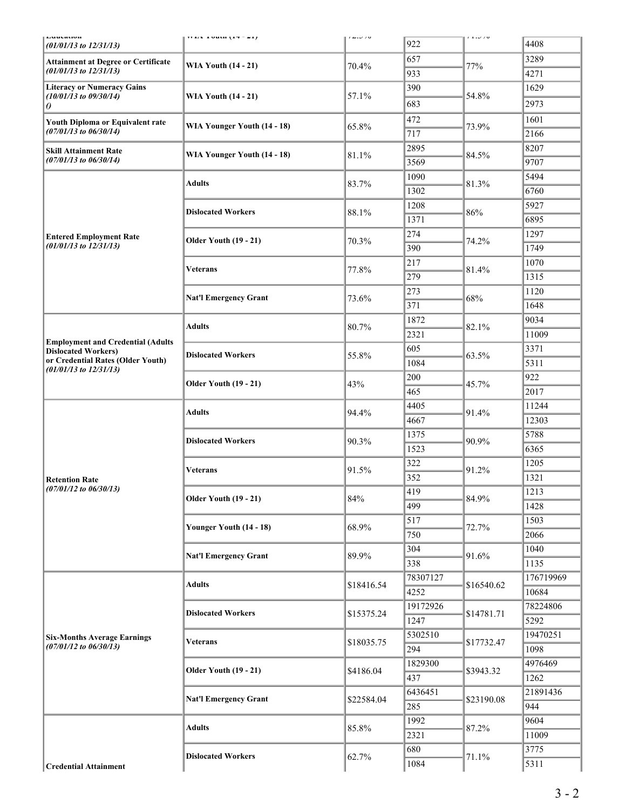| Luuvauvu<br>$(01/01/13$ to $12/31/13)$                                   | $1114$ 10000 (1774)          | $1 \leq u \leq 10$ | 922      | 1.1.70     | 4408      |
|--------------------------------------------------------------------------|------------------------------|--------------------|----------|------------|-----------|
| <b>Attainment at Degree or Certificate</b><br>$(01/01/13$ to $12/31/13)$ |                              |                    | 657      |            | 3289      |
|                                                                          | <b>WIA Youth (14 - 21)</b>   | 70.4%              | 933      | 77%        | 4271      |
| <b>Literacy or Numeracy Gains</b><br>$(10/01/13$ to $09/30/14)$          | <b>WIA Youth (14 - 21)</b>   |                    | 390      |            | 1629      |
|                                                                          |                              | 57.1%              | 683      | 54.8%      | 2973      |
| $\theta$                                                                 |                              |                    | 472      |            | 1601      |
| Youth Diploma or Equivalent rate<br>$(07/01/13$ to $06/30/14)$           | WIA Younger Youth (14 - 18)  | 65.8%              | 717      | 73.9%      | 2166      |
|                                                                          |                              |                    | 2895     |            | 8207      |
| <b>Skill Attainment Rate</b><br>$(07/01/13$ to $06/30/14)$               | WIA Younger Youth (14 - 18)  | 81.1%              | 3569     | 84.5%      | 9707      |
|                                                                          |                              |                    | 1090     |            | 5494      |
|                                                                          | <b>Adults</b>                | 83.7%              | 1302     | 81.3%      | 6760      |
|                                                                          |                              |                    | 1208     |            | 5927      |
|                                                                          | <b>Dislocated Workers</b>    | 88.1%              |          | 86%        | 6895      |
|                                                                          |                              |                    | 1371     |            |           |
| <b>Entered Employment Rate</b><br>$(01/01/13$ to $12/31/13)$             | <b>Older Youth (19 - 21)</b> | 70.3%              | 274      | 74.2%      | 1297      |
|                                                                          |                              |                    | 390      |            | 1749      |
|                                                                          | <b>Veterans</b>              | 77.8%              | 217      | 81.4%      | 1070      |
|                                                                          |                              |                    | 279      |            | 1315      |
|                                                                          | <b>Nat'l Emergency Grant</b> | 73.6%              | 273      | 68%        | 1120      |
|                                                                          |                              |                    | 371      |            | 1648      |
| <b>Employment and Credential (Adults</b><br><b>Dislocated Workers)</b>   | <b>Adults</b>                | 80.7%              | 1872     | 82.1%      | 9034      |
|                                                                          |                              |                    | 2321     |            | 11009     |
|                                                                          | <b>Dislocated Workers</b>    | 55.8%              | 605      | 63.5%      | 3371      |
| or Credential Rates (Older Youth)<br>$(01/01/13$ to $12/31/13)$          |                              |                    | 1084     |            | 5311      |
|                                                                          | <b>Older Youth (19 - 21)</b> | 43%                | 200      | 45.7%      | 922       |
|                                                                          |                              |                    | 465      |            | 2017      |
| <b>Retention Rate</b><br>$(07/01/12$ to $06/30/13)$                      | <b>Adults</b>                | 94.4%              | 4405     | 91.4%      | 11244     |
|                                                                          |                              |                    | 4667     |            | 12303     |
|                                                                          | <b>Dislocated Workers</b>    | 90.3%              | 1375     | 90.9%      | 5788      |
|                                                                          |                              |                    | 1523     |            | 6365      |
|                                                                          | <b>Veterans</b>              | 91.5%              | 322      | 91.2%      | 1205      |
|                                                                          |                              |                    | 352      |            | 1321      |
|                                                                          | <b>Older Youth (19 - 21)</b> | 84%                | 419      | 84.9%      | 1213      |
|                                                                          |                              |                    | 499      |            | 1428      |
|                                                                          |                              | 68.9%              | 517      | 72.7%      | 1503      |
|                                                                          | Younger Youth (14 - 18)      |                    | 750      |            | 2066      |
|                                                                          | <b>Nat'l Emergency Grant</b> | 89.9%              | 304      | 91.6%      | 1040      |
|                                                                          |                              |                    | 338      |            | 1135      |
| <b>Six-Months Average Earnings</b><br>$(07/01/12$ to $06/30/13)$         | <b>Adults</b>                |                    | 78307127 | \$16540.62 | 176719969 |
|                                                                          |                              | \$18416.54         | 4252     |            | 10684     |
|                                                                          | <b>Dislocated Workers</b>    |                    | 19172926 | \$14781.71 | 78224806  |
|                                                                          |                              | \$15375.24         | 1247     |            | 5292      |
|                                                                          | <b>Veterans</b>              | \$18035.75         | 5302510  | \$17732.47 | 19470251  |
|                                                                          |                              |                    | 294      |            | 1098      |
|                                                                          | <b>Older Youth (19 - 21)</b> |                    | 1829300  | \$3943.32  | 4976469   |
|                                                                          |                              | \$4186.04          | 437      |            | 1262      |
|                                                                          | <b>Nat'l Emergency Grant</b> | \$22584.04         | 6436451  | \$23190.08 | 21891436  |
|                                                                          |                              |                    | 285      |            | 944       |
|                                                                          | <b>Adults</b>                | 85.8%              | 1992     | 87.2%      | 9604      |
|                                                                          |                              |                    | 2321     |            | 11009     |
|                                                                          |                              | 62.7%              | 680      |            | 3775      |
| <b>Credential Attainment</b>                                             | <b>Dislocated Workers</b>    |                    | 1084     | 71.1%      | 5311      |
|                                                                          |                              |                    |          |            |           |